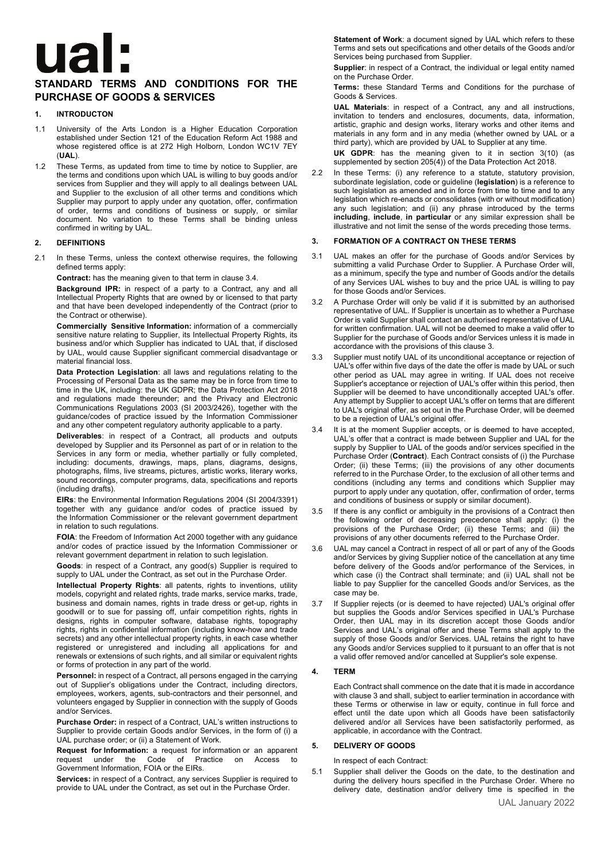# **Ua**

# **STANDARD TERMS AND CONDITIONS FOR THE PURCHASE OF GOODS & SERVICES**

### **1. INTRODUCTON**

- 1.1 University of the Arts London is a Higher Education Corporation established under Section 121 of the Education Reform Act 1988 and whose registered office is at 272 High Holborn, London WC1V 7EY (**UAL**).
- 1.2 These Terms, as updated from time to time by notice to Supplier, are the terms and conditions upon which UAL is willing to buy goods and/or services from Supplier and they will apply to all dealings between UAL and Supplier to the exclusion of all other terms and conditions which Supplier may purport to apply under any quotation, offer, confirmation of order, terms and conditions of business or supply, or similar document. No variation to these Terms shall be binding unless confirmed in writing by UAL.

### **2. DEFINITIONS**

2.1 In these Terms, unless the context otherwise requires, the following defined terms apply:

**Contract:** has the meaning given to that term in clause 3.4.

**Background IPR:** in respect of a party to a Contract, any and all Intellectual Property Rights that are owned by or licensed to that party and that have been developed independently of the Contract (prior to the Contract or otherwise).

**Commercially Sensitive Information:** information of a commercially sensitive nature relating to Supplier, its Intellectual Property Rights, its business and/or which Supplier has indicated to UAL that, if disclosed by UAL, would cause Supplier significant commercial disadvantage or material financial loss.

**Data Protection Legislation**: all laws and regulations relating to the Processing of Personal Data as the same may be in force from time to time in the UK, including: the UK GDPR; the Data Protection Act 2018 and regulations made thereunder; and the Privacy and Electronic Communications Regulations 2003 (SI 2003/2426), together with the guidance/codes of practice issued by the Information Commissioner and any other competent regulatory authority applicable to a party.

**Deliverables**: in respect of a Contract, all products and outputs developed by Supplier and its Personnel as part of or in relation to the Services in any form or media, whether partially or fully completed, including: documents, drawings, maps, plans, diagrams, designs, photographs, films, live streams, pictures, artistic works, literary works, sound recordings, computer programs, data, specifications and reports (including drafts).

**EIRs**: the Environmental Information Regulations 2004 (SI 2004/3391) together with any guidance and/or codes of practice issued by the Information Commissioner or the relevant government department in relation to such regulations.

**FOIA**: the Freedom of Information Act 2000 together with any guidance and/or codes of practice issued by the Information Commissioner or relevant government department in relation to such legislation.

**Goods**: in respect of a Contract, any good(s) Supplier is required to supply to UAL under the Contract, as set out in the Purchase Order.

**Intellectual Property Rights**: all patents, rights to inventions, utility models, copyright and related rights, trade marks, service marks, trade, business and domain names, rights in trade dress or get-up, rights in goodwill or to sue for passing off, unfair competition rights, rights in designs, rights in computer software, database rights, topography rights, rights in confidential information (including know-how and trade secrets) and any other intellectual property rights, in each case whether registered or unregistered and including all applications for and renewals or extensions of such rights, and all similar or equivalent rights or forms of protection in any part of the world.

**Personnel:** in respect of a Contract, all persons engaged in the carrying out of Supplier's obligations under the Contract, including directors, employees, workers, agents, sub-contractors and their personnel, and volunteers engaged by Supplier in connection with the supply of Goods and/or Services.

**Purchase Order:** in respect of a Contract, UAL's written instructions to Supplier to provide certain Goods and/or Services, in the form of (i) a UAL purchase order; or (ii) a Statement of Work.

**Request for Information:** a request for information or an apparent request under the Code of Practice on Access to Government Information, FOIA or the EIRs.

**Services:** in respect of a Contract, any services Supplier is required to provide to UAL under the Contract, as set out in the Purchase Order.

**Statement of Work**: a document signed by UAL which refers to these Terms and sets out specifications and other details of the Goods and/or Services being purchased from Supplier.

**Supplier:** in respect of a Contract, the individual or legal entity named on the Purchase Order.

**Terms:** these Standard Terms and Conditions for the purchase of Goods & Services.

**UAL Materials**: in respect of a Contract, any and all instructions, invitation to tenders and enclosures, documents, data, information, artistic, graphic and design works, literary works and other items and materials in any form and in any media (whether owned by UAL or a third party), which are provided by UAL to Supplier at any time.

**UK GDPR**: has the meaning given to it in section 3(10) (as supplemented by section 205(4)) of the Data Protection Act 2018.

2.2 In these Terms: (i) any reference to a statute, statutory provision, subordinate legislation, code or guideline (**legislation**) is a reference to such legislation as amended and in force from time to time and to any legislation which re-enacts or consolidates (with or without modification) any such legislation; and (ii) any phrase introduced by the terms **including**, **include**, **in particular** or any similar expression shall be illustrative and not limit the sense of the words preceding those terms.

# **3. FORMATION OF A CONTRACT ON THESE TERMS**

- 3.1 UAL makes an offer for the purchase of Goods and/or Services by submitting a valid Purchase Order to Supplier. A Purchase Order will, as a minimum, specify the type and number of Goods and/or the details of any Services UAL wishes to buy and the price UAL is willing to pay for those Goods and/or Services.
- 3.2 A Purchase Order will only be valid if it is submitted by an authorised representative of UAL. If Supplier is uncertain as to whether a Purchase Order is valid Supplier shall contact an authorised representative of UAL for written confirmation. UAL will not be deemed to make a valid offer to Supplier for the purchase of Goods and/or Services unless it is made in accordance with the provisions of this clause 3.
- 3.3 Supplier must notify UAL of its unconditional acceptance or rejection of UAL's offer within five days of the date the offer is made by UAL or such other period as UAL may agree in writing. If UAL does not receive Supplier's acceptance or rejection of UAL's offer within this period, then Supplier will be deemed to have unconditionally accepted UAL's offer. Any attempt by Supplier to accept UAL's offer on terms that are different to UAL's original offer, as set out in the Purchase Order, will be deemed to be a rejection of UAL's original offer.
- It is at the moment Supplier accepts, or is deemed to have accepted, UAL's offer that a contract is made between Supplier and UAL for the supply by Supplier to UAL of the goods and/or services specified in the Purchase Order (**Contract**). Each Contract consists of (i) the Purchase Order; (ii) these Terms; (iii) the provisions of any other documents referred to in the Purchase Order, to the exclusion of all other terms and conditions (including any terms and conditions which Supplier may purport to apply under any quotation, offer, confirmation of order, terms and conditions of business or supply or similar document).
- 3.5 If there is any conflict or ambiguity in the provisions of a Contract then the following order of decreasing precedence shall apply: (i) the provisions of the Purchase Order; (ii) these Terms; and (iii) the provisions of any other documents referred to the Purchase Order.
- 3.6 UAL may cancel a Contract in respect of all or part of any of the Goods and/or Services by giving Supplier notice of the cancellation at any time before delivery of the Goods and/or performance of the Services, in which case (i) the Contract shall terminate; and (ii) UAL shall not be liable to pay Supplier for the cancelled Goods and/or Services, as the case may be.
- 3.7 If Supplier rejects (or is deemed to have rejected) UAL's original offer but supplies the Goods and/or Services specified in UAL's Purchase Order, then UAL may in its discretion accept those Goods and/or Services and UAL's original offer and these Terms shall apply to the supply of those Goods and/or Services. UAL retains the right to have any Goods and/or Services supplied to it pursuant to an offer that is not a valid offer removed and/or cancelled at Supplier's sole expense.

### **4. TERM**

Each Contract shall commence on the date that it is made in accordance with clause 3 and shall, subject to earlier termination in accordance with these Terms or otherwise in law or equity, continue in full force and effect until the date upon which all Goods have been satisfactorily delivered and/or all Services have been satisfactorily performed, as applicable, in accordance with the Contract.

# **5. DELIVERY OF GOODS**

In respect of each Contract:

5.1 Supplier shall deliver the Goods on the date, to the destination and during the delivery hours specified in the Purchase Order. Where no delivery date, destination and/or delivery time is specified in the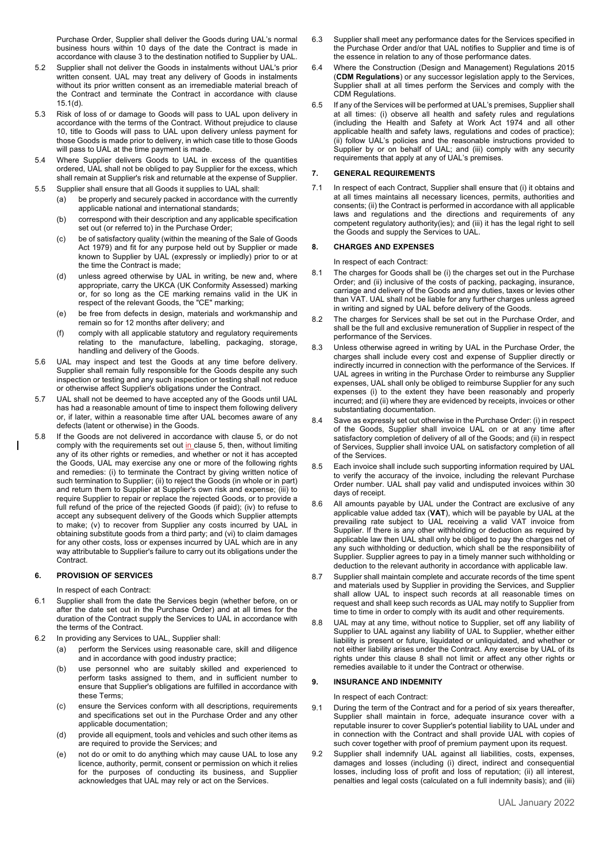Purchase Order, Supplier shall deliver the Goods during UAL's normal business hours within 10 days of the date the Contract is made in accordance with clause 3 to the destination notified to Supplier by UAL.

- 5.2 Supplier shall not deliver the Goods in instalments without UAL's prior written consent. UAL may treat any delivery of Goods in instalments without its prior written consent as an irremediable material breach of the Contract and terminate the Contract in accordance with clause 15.1(d).
- 5.3 Risk of loss of or damage to Goods will pass to UAL upon delivery in accordance with the terms of the Contract. Without prejudice to clause 10, title to Goods will pass to UAL upon delivery unless payment for those Goods is made prior to delivery, in which case title to those Goods will pass to UAL at the time payment is made.
- 5.4 Where Supplier delivers Goods to UAL in excess of the quantities ordered, UAL shall not be obliged to pay Supplier for the excess, which shall remain at Supplier's risk and returnable at the expense of Supplier.
- 5.5 Supplier shall ensure that all Goods it supplies to UAL shall:
	- (a) be properly and securely packed in accordance with the currently applicable national and international standards;
	- (b) correspond with their description and any applicable specification set out (or referred to) in the Purchase Order;
	- (c) be of satisfactory quality (within the meaning of the Sale of Goods Act 1979) and fit for any purpose held out by Supplier or made known to Supplier by UAL (expressly or impliedly) prior to or at the time the Contract is made;
	- (d) unless agreed otherwise by UAL in writing, be new and, where appropriate, carry the UKCA (UK Conformity Assessed) marking or, for so long as the CE marking remains valid in the UK in respect of the relevant Goods, the "CE" marking;
	- (e) be free from defects in design, materials and workmanship and remain so for 12 months after delivery; and
	- (f) comply with all applicable statutory and regulatory requirements relating to the manufacture, labelling, packaging, storage, handling and delivery of the Goods.
- 5.6 UAL may inspect and test the Goods at any time before delivery. Supplier shall remain fully responsible for the Goods despite any such inspection or testing and any such inspection or testing shall not reduce or otherwise affect Supplier's obligations under the Contract.
- 5.7 UAL shall not be deemed to have accepted any of the Goods until UAL has had a reasonable amount of time to inspect them following delivery or, if later, within a reasonable time after UAL becomes aware of any defects (latent or otherwise) in the Goods.
- 5.8 If the Goods are not delivered in accordance with clause 5, or do not comply with the requirements set out in clause 5, then, without limiting any of its other rights or remedies, and whether or not it has accepted the Goods, UAL may exercise any one or more of the following rights and remedies: (i) to terminate the Contract by giving written notice of such termination to Supplier; (ii) to reject the Goods (in whole or in part) and return them to Supplier at Supplier's own risk and expense; (iii) to require Supplier to repair or replace the rejected Goods, or to provide a full refund of the price of the rejected Goods (if paid); (iv) to refuse to accept any subsequent delivery of the Goods which Supplier attempts to make; (v) to recover from Supplier any costs incurred by UAL in obtaining substitute goods from a third party; and (vi) to claim damages for any other costs, loss or expenses incurred by UAL which are in any way attributable to Supplier's failure to carry out its obligations under the Contract.

# **6. PROVISION OF SERVICES**

- In respect of each Contract:
- 6.1 Supplier shall from the date the Services begin (whether before, on or after the date set out in the Purchase Order) and at all times for the duration of the Contract supply the Services to UAL in accordance with the terms of the Contract.
- 6.2 In providing any Services to UAL, Supplier shall:
	- (a) perform the Services using reasonable care, skill and diligence and in accordance with good industry practice;
	- (b) use personnel who are suitably skilled and experienced to perform tasks assigned to them, and in sufficient number to ensure that Supplier's obligations are fulfilled in accordance with these Terms;
	- (c) ensure the Services conform with all descriptions, requirements and specifications set out in the Purchase Order and any other applicable documentation;
	- (d) provide all equipment, tools and vehicles and such other items as are required to provide the Services; and
	- (e) not do or omit to do anything which may cause UAL to lose any licence, authority, permit, consent or permission on which it relies for the purposes of conducting its business, and Supplier acknowledges that UAL may rely or act on the Services.
- 6.3 Supplier shall meet any performance dates for the Services specified in the Purchase Order and/or that UAL notifies to Supplier and time is of the essence in relation to any of those performance dates.
- 6.4 Where the Construction (Design and Management) Regulations 2015 (**CDM Regulations**) or any successor legislation apply to the Services, Supplier shall at all times perform the Services and comply with the CDM Regulations.
- 6.5 If any of the Services will be performed at UAL's premises, Supplier shall at all times: (i) observe all health and safety rules and regulations (including the Health and Safety at Work Act 1974 and all other applicable health and safety laws, regulations and codes of practice); (ii) follow UAL's policies and the reasonable instructions provided to Supplier by or on behalf of UAL; and (iii) comply with any security requirements that apply at any of UAL's premises.

# **7. GENERAL REQUIREMENTS**

7.1 In respect of each Contract, Supplier shall ensure that (i) it obtains and at all times maintains all necessary licences, permits, authorities and consents; (ii) the Contract is performed in accordance with all applicable laws and regulations and the directions and requirements of any competent regulatory authority(ies); and (iii) it has the legal right to sell the Goods and supply the Services to UAL.

### **8. CHARGES AND EXPENSES**

In respect of each Contract:

- 8.1 The charges for Goods shall be (i) the charges set out in the Purchase Order; and (ii) inclusive of the costs of packing, packaging, insurance, carriage and delivery of the Goods and any duties, taxes or levies other than VAT. UAL shall not be liable for any further charges unless agreed in writing and signed by UAL before delivery of the Goods.
- 8.2 The charges for Services shall be set out in the Purchase Order, and shall be the full and exclusive remuneration of Supplier in respect of the performance of the Services.
- 8.3 Unless otherwise agreed in writing by UAL in the Purchase Order, the charges shall include every cost and expense of Supplier directly or indirectly incurred in connection with the performance of the Services. If UAL agrees in writing in the Purchase Order to reimburse any Supplier expenses, UAL shall only be obliged to reimburse Supplier for any such expenses (i) to the extent they have been reasonably and properly incurred; and (ii) where they are evidenced by receipts, invoices or other substantiating documentation.
- 8.4 Save as expressly set out otherwise in the Purchase Order: (i) in respect of the Goods, Supplier shall invoice UAL on or at any time after satisfactory completion of delivery of all of the Goods; and (ii) in respect of Services, Supplier shall invoice UAL on satisfactory completion of all of the Services.
- 8.5 Each invoice shall include such supporting information required by UAL to verify the accuracy of the invoice, including the relevant Purchase Order number. UAL shall pay valid and undisputed invoices within 30 days of receipt.
- 8.6 All amounts payable by UAL under the Contract are exclusive of any applicable value added tax (**VAT**), which will be payable by UAL at the prevailing rate subject to UAL receiving a valid VAT invoice from Supplier. If there is any other withholding or deduction as required by applicable law then UAL shall only be obliged to pay the charges net of any such withholding or deduction, which shall be the responsibility of Supplier. Supplier agrees to pay in a timely manner such withholding or deduction to the relevant authority in accordance with applicable law.
- 8.7 Supplier shall maintain complete and accurate records of the time spent and materials used by Supplier in providing the Services, and Supplier shall allow UAL to inspect such records at all reasonable times on request and shall keep such records as UAL may notify to Supplier from time to time in order to comply with its audit and other requirements.
- 8.8 UAL may at any time, without notice to Supplier, set off any liability of Supplier to UAL against any liability of UAL to Supplier, whether either liability is present or future, liquidated or unliquidated, and whether or not either liability arises under the Contract. Any exercise by UAL of its rights under this clause 8 shall not limit or affect any other rights or remedies available to it under the Contract or otherwise.

### **9. INSURANCE AND INDEMNITY**

In respect of each Contract:

- 9.1 During the term of the Contract and for a period of six years thereafter, Supplier shall maintain in force, adequate insurance cover with a reputable insurer to cover Supplier's potential liability to UAL under and in connection with the Contract and shall provide UAL with copies of such cover together with proof of premium payment upon its request.
- 9.2 Supplier shall indemnify UAL against all liabilities, costs, expenses, damages and losses (including (i) direct, indirect and consequential losses, including loss of profit and loss of reputation; (ii) all interest, penalties and legal costs (calculated on a full indemnity basis); and (iii)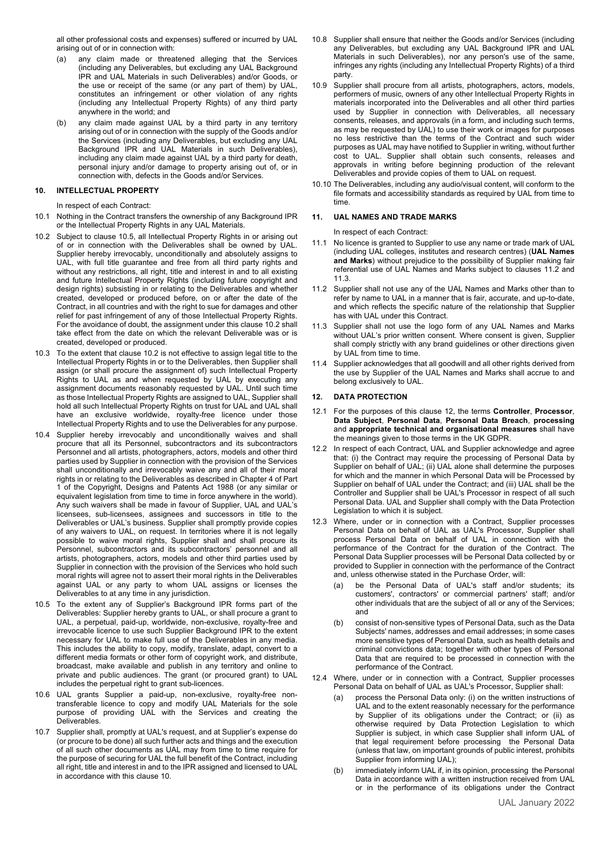all other professional costs and expenses) suffered or incurred by UAL arising out of or in connection with:

- (a) any claim made or threatened alleging that the Services (including any Deliverables, but excluding any UAL Background IPR and UAL Materials in such Deliverables) and/or Goods, or the use or receipt of the same (or any part of them) by UAL, constitutes an infringement or other violation of any rights (including any Intellectual Property Rights) of any third party anywhere in the world; and
- (b) any claim made against UAL by a third party in any territory arising out of or in connection with the supply of the Goods and/or the Services (including any Deliverables, but excluding any UAL Background IPR and UAL Materials in such Deliverables), including any claim made against UAL by a third party for death, personal injury and/or damage to property arising out of, or in connection with, defects in the Goods and/or Services.

### **10. INTELLECTUAL PROPERTY**

In respect of each Contract:

- 10.1 Nothing in the Contract transfers the ownership of any Background IPR or the Intellectual Property Rights in any UAL Materials.
- 10.2 Subject to clause 10.5, all Intellectual Property Rights in or arising out of or in connection with the Deliverables shall be owned by UAL. Supplier hereby irrevocably, unconditionally and absolutely assigns to UAL, with full title guarantee and free from all third party rights and without any restrictions, all right, title and interest in and to all existing and future Intellectual Property Rights (including future copyright and design rights) subsisting in or relating to the Deliverables and whether created, developed or produced before, on or after the date of the Contract, in all countries and with the right to sue for damages and other relief for past infringement of any of those Intellectual Property Rights. For the avoidance of doubt, the assignment under this clause 10.2 shall take effect from the date on which the relevant Deliverable was or is created, developed or produced.
- 10.3 To the extent that clause 10.2 is not effective to assign legal title to the Intellectual Property Rights in or to the Deliverables, then Supplier shall assign (or shall procure the assignment of) such Intellectual Property Rights to UAL as and when requested by UAL by executing any assignment documents reasonably requested by UAL. Until such time as those Intellectual Property Rights are assigned to UAL, Supplier shall hold all such Intellectual Property Rights on trust for UAL and UAL shall have an exclusive worldwide, royalty-free licence under those Intellectual Property Rights and to use the Deliverables for any purpose.
- 10.4 Supplier hereby irrevocably and unconditionally waives and shall procure that all its Personnel, subcontractors and its subcontractors Personnel and all artists, photographers, actors, models and other third parties used by Supplier in connection with the provision of the Services shall unconditionally and irrevocably waive any and all of their moral rights in or relating to the Deliverables as described in Chapter 4 of Part 1 of the Copyright, Designs and Patents Act 1988 (or any similar or equivalent legislation from time to time in force anywhere in the world). Any such waivers shall be made in favour of Supplier, UAL and UAL's licensees, sub-licensees, assignees and successors in title to the Deliverables or UAL's business. Supplier shall promptly provide copies of any waivers to UAL, on request. In territories where it is not legally possible to waive moral rights, Supplier shall and shall procure its Personnel, subcontractors and its subcontractors' personnel and all artists, photographers, actors, models and other third parties used by Supplier in connection with the provision of the Services who hold such moral rights will agree not to assert their moral rights in the Deliverables against UAL or any party to whom UAL assigns or licenses the Deliverables to at any time in any jurisdiction.
- 10.5 To the extent any of Supplier's Background IPR forms part of the Deliverables: Supplier hereby grants to UAL, or shall procure a grant to UAL, a perpetual, paid-up, worldwide, non-exclusive, royalty-free and irrevocable licence to use such Supplier Background IPR to the extent necessary for UAL to make full use of the Deliverables in any media. This includes the ability to copy, modify, translate, adapt, convert to a different media formats or other form of copyright work, and distribute, broadcast, make available and publish in any territory and online to private and public audiences. The grant (or procured grant) to UAL includes the perpetual right to grant sub-licences.
- 10.6 UAL grants Supplier a paid-up, non-exclusive, royalty-free nontransferable licence to copy and modify UAL Materials for the sole purpose of providing UAL with the Services and creating the Deliverables.
- 10.7 Supplier shall, promptly at UAL's request, and at Supplier's expense do (or procure to be done) all such further acts and things and the execution of all such other documents as UAL may from time to time require for the purpose of securing for UAL the full benefit of the Contract, including all right, title and interest in and to the IPR assigned and licensed to UAL in accordance with this clause 10.
- 10.8 Supplier shall ensure that neither the Goods and/or Services (including any Deliverables, but excluding any UAL Background IPR and UAL Materials in such Deliverables), nor any person's use of the same, infringes any rights (including any Intellectual Property Rights) of a third party.
- 10.9 Supplier shall procure from all artists, photographers, actors, models, performers of music, owners of any other Intellectual Property Rights in materials incorporated into the Deliverables and all other third parties used by Supplier in connection with Deliverables, all necessary consents, releases, and approvals (in a form, and including such terms, as may be requested by UAL) to use their work or images for purposes no less restrictive than the terms of the Contract and such wider purposes as UAL may have notified to Supplier in writing, without further cost to UAL. Supplier shall obtain such consents, releases and approvals in writing before beginning production of the relevant Deliverables and provide copies of them to UAL on request.
- 10.10 The Deliverables, including any audio/visual content, will conform to the file formats and accessibility standards as required by UAL from time to time.

### **11. UAL NAMES AND TRADE MARKS**

In respect of each Contract:

- 11.1 No licence is granted to Supplier to use any name or trade mark of UAL (including UAL colleges, institutes and research centres) (**UAL Names and Marks**) without prejudice to the possibility of Supplier making fair referential use of UAL Names and Marks subject to clauses 11.2 and 11.3.
- 11.2 Supplier shall not use any of the UAL Names and Marks other than to refer by name to UAL in a manner that is fair, accurate, and up-to-date, and which reflects the specific nature of the relationship that Supplier has with UAL under this Contract.
- 11.3 Supplier shall not use the logo form of any UAL Names and Marks without UAL's prior written consent. Where consent is given, Supplier shall comply strictly with any brand guidelines or other directions given by UAL from time to time.
- 11.4 Supplier acknowledges that all goodwill and all other rights derived from the use by Supplier of the UAL Names and Marks shall accrue to and belong exclusively to UAL.

### **12. DATA PROTECTION**

- 12.1 For the purposes of this clause 12, the terms **Controller**, **Processor**, **Data Subject**, **Personal Data**, **Personal Data Breach**, **processing** and **appropriate technical and organisational measures** shall have the meanings given to those terms in the UK GDPR.
- 12.2 In respect of each Contract, UAL and Supplier acknowledge and agree that: (i) the Contract may require the processing of Personal Data by Supplier on behalf of UAL; (ii) UAL alone shall determine the purposes for which and the manner in which Personal Data will be Processed by Supplier on behalf of UAL under the Contract; and (iii) UAL shall be the Controller and Supplier shall be UAL's Processor in respect of all such Personal Data. UAL and Supplier shall comply with the Data Protection Legislation to which it is subject.
- 12.3 Where, under or in connection with a Contract, Supplier processes Personal Data on behalf of UAL as UAL's Processor, Supplier shall process Personal Data on behalf of UAL in connection with the performance of the Contract for the duration of the Contract. The Personal Data Supplier processes will be Personal Data collected by or provided to Supplier in connection with the performance of the Contract and, unless otherwise stated in the Purchase Order, will:
	- be the Personal Data of UAL's staff and/or students; its customers', contractors' or commercial partners' staff; and/or other individuals that are the subject of all or any of the Services; and
	- (b) consist of non-sensitive types of Personal Data, such as the Data Subjects' names, addresses and email addresses; in some cases more sensitive types of Personal Data, such as health details and criminal convictions data; together with other types of Personal Data that are required to be processed in connection with the performance of the Contract.
- 12.4 Where, under or in connection with a Contract, Supplier processes Personal Data on behalf of UAL as UAL's Processor, Supplier shall:
	- process the Personal Data only: (i) on the written instructions of UAL and to the extent reasonably necessary for the performance by Supplier of its obligations under the Contract; or (ii) as otherwise required by Data Protection Legislation to which Supplier is subject, in which case Supplier shall inform UAL of that legal requirement before processing the Personal Data (unless that law, on important grounds of public interest, prohibits Supplier from informing UAL);
	- (b) immediately inform UAL if, in its opinion, processing the Personal Data in accordance with a written instruction received from UAL or in the performance of its obligations under the Contract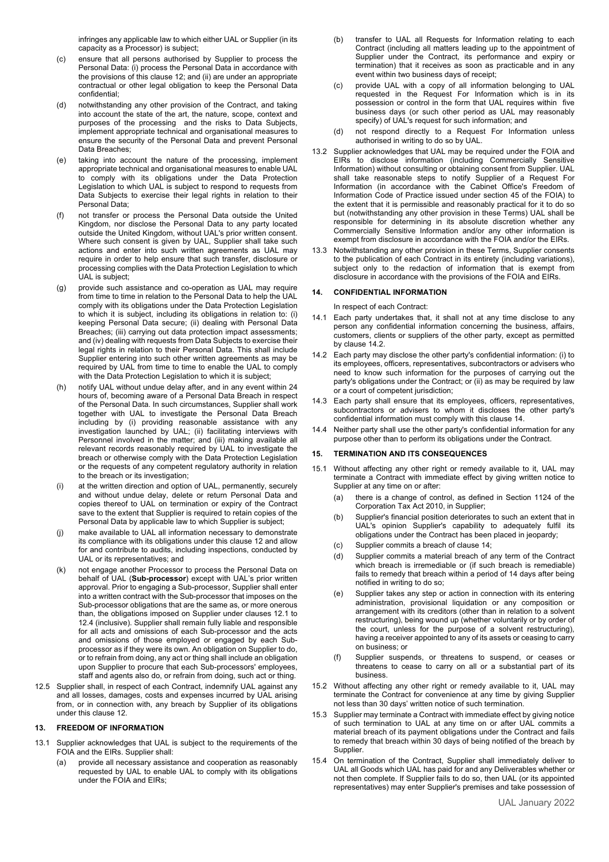infringes any applicable law to which either UAL or Supplier (in its capacity as a Processor) is subject;

- (c) ensure that all persons authorised by Supplier to process the Personal Data: (i) process the Personal Data in accordance with the provisions of this clause 12; and (ii) are under an appropriate contractual or other legal obligation to keep the Personal Data confidential;
- (d) notwithstanding any other provision of the Contract, and taking into account the state of the art, the nature, scope, context and purposes of the processing and the risks to Data Subjects, implement appropriate technical and organisational measures to ensure the security of the Personal Data and prevent Personal Data Breaches;
- (e) taking into account the nature of the processing, implement appropriate technical and organisational measures to enable UAL to comply with its obligations under the Data Protection Legislation to which UAL is subject to respond to requests from Data Subjects to exercise their legal rights in relation to their Personal Data;
- (f) not transfer or process the Personal Data outside the United Kingdom, nor disclose the Personal Data to any party located outside the United Kingdom, without UAL's prior written consent. Where such consent is given by UAL, Supplier shall take such actions and enter into such written agreements as UAL may require in order to help ensure that such transfer, disclosure or processing complies with the Data Protection Legislation to which UAL is subject;
- (g) provide such assistance and co-operation as UAL may require from time to time in relation to the Personal Data to help the UAL comply with its obligations under the Data Protection Legislation to which it is subject, including its obligations in relation to: (i) keeping Personal Data secure; (ii) dealing with Personal Data Breaches; (iii) carrying out data protection impact assessments; and (iv) dealing with requests from Data Subjects to exercise their legal rights in relation to their Personal Data. This shall include Supplier entering into such other written agreements as may be required by UAL from time to time to enable the UAL to comply with the Data Protection Legislation to which it is subject;
- (h) notify UAL without undue delay after, and in any event within 24 hours of, becoming aware of a Personal Data Breach in respect of the Personal Data. In such circumstances, Supplier shall work together with UAL to investigate the Personal Data Breach including by (i) providing reasonable assistance with any investigation launched by UAL; (ii) facilitating interviews with Personnel involved in the matter; and (iii) making available all relevant records reasonably required by UAL to investigate the breach or otherwise comply with the Data Protection Legislation or the requests of any competent regulatory authority in relation to the breach or its investigation;
- (i) at the written direction and option of UAL, permanently, securely and without undue delay, delete or return Personal Data and copies thereof to UAL on termination or expiry of the Contract save to the extent that Supplier is required to retain copies of the Personal Data by applicable law to which Supplier is subject;
- (j) make available to UAL all information necessary to demonstrate its compliance with its obligations under this clause 12 and allow for and contribute to audits, including inspections, conducted by UAL or its representatives; and
- (k) not engage another Processor to process the Personal Data on behalf of UAL (**Sub-processor**) except with UAL's prior written approval. Prior to engaging a Sub-processor, Supplier shall enter into a written contract with the Sub-processor that imposes on the Sub-processor obligations that are the same as, or more onerous than, the obligations imposed on Supplier under clauses 12.1 to 12.4 (inclusive). Supplier shall remain fully liable and responsible for all acts and omissions of each Sub-processor and the acts and omissions of those employed or engaged by each Subprocessor as if they were its own. An obligation on Supplier to do, or to refrain from doing, any act or thing shall include an obligation upon Supplier to procure that each Sub-processors' employees, staff and agents also do, or refrain from doing, such act or thing.
- 12.5 Supplier shall, in respect of each Contract, indemnify UAL against any and all losses, damages, costs and expenses incurred by UAL arising from, or in connection with, any breach by Supplier of its obligations under this clause 12.

### **13. FREEDOM OF INFORMATION**

- 13.1 Supplier acknowledges that UAL is subject to the requirements of the FOIA and the EIRs. Supplier shall:
	- (a) provide all necessary assistance and cooperation as reasonably requested by UAL to enable UAL to comply with its obligations under the FOIA and EIRs;
- (b) transfer to UAL all Requests for Information relating to each Contract (including all matters leading up to the appointment of Supplier under the Contract, its performance and expiry or termination) that it receives as soon as practicable and in any event within two business days of receipt;
- (c) provide UAL with a copy of all information belonging to UAL requested in the Request For Information which is in its possession or control in the form that UAL requires within five business days (or such other period as UAL may reasonably specify) of UAL's request for such information; and
- (d) not respond directly to a Request For Information unless authorised in writing to do so by UAL.
- 13.2 Supplier acknowledges that UAL may be required under the FOIA and EIRs to disclose information (including Commercially Sensitive Information) without consulting or obtaining consent from Supplier. UAL shall take reasonable steps to notify Supplier of a Request For Information (in accordance with the Cabinet Office's Freedom of Information Code of Practice issued under section 45 of the FOIA) to the extent that it is permissible and reasonably practical for it to do so but (notwithstanding any other provision in these Terms) UAL shall be responsible for determining in its absolute discretion whether any Commercially Sensitive Information and/or any other information is exempt from disclosure in accordance with the FOIA and/or the EIRs.
- 13.3 Notwithstanding any other provision in these Terms, Supplier consents to the publication of each Contract in its entirety (including variations), subject only to the redaction of information that is exempt from disclosure in accordance with the provisions of the FOIA and EIRs.

### **14. CONFIDENTIAL INFORMATION**

In respect of each Contract:

- 14.1 Each party undertakes that, it shall not at any time disclose to any person any confidential information concerning the business, affairs, customers, clients or suppliers of the other party, except as permitted by clause 14.2.
- 14.2 Each party may disclose the other party's confidential information: (i) to its employees, officers, representatives, subcontractors or advisers who need to know such information for the purposes of carrying out the party's obligations under the Contract; or (ii) as may be required by law or a court of competent jurisdiction;
- 14.3 Each party shall ensure that its employees, officers, representatives, subcontractors or advisers to whom it discloses the other party's confidential information must comply with this clause 14.
- 14.4 Neither party shall use the other party's confidential information for any purpose other than to perform its obligations under the Contract.

### **15. TERMINATION AND ITS CONSEQUENCES**

- 15.1 Without affecting any other right or remedy available to it, UAL may terminate a Contract with immediate effect by giving written notice to Supplier at any time on or after:
	- (a) there is a change of control, as defined in Section 1124 of the Corporation Tax Act 2010, in Supplier;
	- (b) Supplier's financial position deteriorates to such an extent that in UAL's opinion Supplier's capability to adequately fulfil its obligations under the Contract has been placed in jeopardy;
	- (c) Supplier commits a breach of clause 14;
	- (d) Supplier commits a material breach of any term of the Contract which breach is irremediable or (if such breach is remediable) fails to remedy that breach within a period of 14 days after being notified in writing to do so;
	- (e) Supplier takes any step or action in connection with its entering administration, provisional liquidation or any composition or arrangement with its creditors (other than in relation to a solvent restructuring), being wound up (whether voluntarily or by order of the court, unless for the purpose of a solvent restructuring), having a receiver appointed to any of its assets or ceasing to carry on business; or
	- (f) Supplier suspends, or threatens to suspend, or ceases or threatens to cease to carry on all or a substantial part of its business.
- 15.2 Without affecting any other right or remedy available to it, UAL may terminate the Contract for convenience at any time by giving Supplier not less than 30 days' written notice of such termination.
- 15.3 Supplier may terminate a Contract with immediate effect by giving notice of such termination to UAL at any time on or after UAL commits a material breach of its payment obligations under the Contract and fails to remedy that breach within 30 days of being notified of the breach by **Supplier**
- 15.4 On termination of the Contract, Supplier shall immediately deliver to UAL all Goods which UAL has paid for and any Deliverables whether or not then complete. If Supplier fails to do so, then UAL (or its appointed representatives) may enter Supplier's premises and take possession of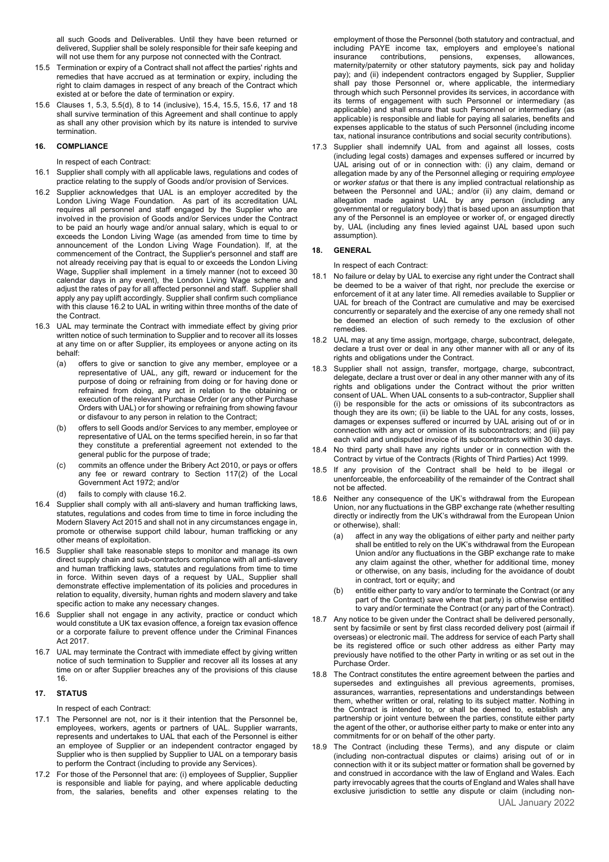all such Goods and Deliverables. Until they have been returned or delivered, Supplier shall be solely responsible for their safe keeping and will not use them for any purpose not connected with the Contract.

- 15.5 Termination or expiry of a Contract shall not affect the parties' rights and remedies that have accrued as at termination or expiry, including the right to claim damages in respect of any breach of the Contract which existed at or before the date of termination or expiry.
- 15.6 Clauses 1, 5.3, 5.5(d), 8 to 14 (inclusive), 15.4, 15.5, 15.6, 17 and 18 shall survive termination of this Agreement and shall continue to apply as shall any other provision which by its nature is intended to survive termination.

### **16. COMPLIANCE**

In respect of each Contract:

- 16.1 Supplier shall comply with all applicable laws, regulations and codes of practice relating to the supply of Goods and/or provision of Services.
- 16.2 Supplier acknowledges that UAL is an employer accredited by the London Living Wage Foundation. As part of its accreditation UAL requires all personnel and staff engaged by the Supplier who are involved in the provision of Goods and/or Services under the Contract to be paid an hourly wage and/or annual salary, which is equal to or exceeds the London Living Wage (as amended from time to time by announcement of the London Living Wage Foundation). If, at the commencement of the Contract, the Supplier's personnel and staff are not already receiving pay that is equal to or exceeds the London Living Wage, Supplier shall implement in a timely manner (not to exceed 30 calendar days in any event), the London Living Wage scheme and adjust the rates of pay for all affected personnel and staff. Supplier shall apply any pay uplift accordingly. Supplier shall confirm such compliance with this clause 16.2 to UAL in writing within three months of the date of the Contract.
- 16.3 UAL may terminate the Contract with immediate effect by giving prior written notice of such termination to Supplier and to recover all its losses at any time on or after Supplier, its employees or anyone acting on its behalf:
	- (a) offers to give or sanction to give any member, employee or a representative of UAL, any gift, reward or inducement for the purpose of doing or refraining from doing or for having done or refrained from doing, any act in relation to the obtaining or execution of the relevant Purchase Order (or any other Purchase Orders with UAL) or for showing or refraining from showing favour or disfavour to any person in relation to the Contract;
	- (b) offers to sell Goods and/or Services to any member, employee or representative of UAL on the terms specified herein, in so far that they constitute a preferential agreement not extended to the general public for the purpose of trade;
	- (c) commits an offence under the Bribery Act 2010, or pays or offers any fee or reward contrary to Section 117(2) of the Local Government Act 1972; and/or
	- (d) fails to comply with clause 16.2.
- 16.4 Supplier shall comply with all anti-slavery and human trafficking laws, statutes, regulations and codes from time to time in force including the Modern Slavery Act 2015 and shall not in any circumstances engage in, promote or otherwise support child labour, human trafficking or any other means of exploitation.
- 16.5 Supplier shall take reasonable steps to monitor and manage its own direct supply chain and sub-contractors compliance with all anti-slavery and human trafficking laws, statutes and regulations from time to time in force. Within seven days of a request by UAL, Supplier shall demonstrate effective implementation of its policies and procedures in relation to equality, diversity, human rights and modern slavery and take specific action to make any necessary changes.
- 16.6 Supplier shall not engage in any activity, practice or conduct which would constitute a UK tax evasion offence, a foreign tax evasion offence or a corporate failure to prevent offence under the Criminal Finances Act 2017.
- 16.7 UAL may terminate the Contract with immediate effect by giving written notice of such termination to Supplier and recover all its losses at any time on or after Supplier breaches any of the provisions of this clause 16.

# **17. STATUS**

In respect of each Contract:

- 17.1 The Personnel are not, nor is it their intention that the Personnel be, employees, workers, agents or partners of UAL. Supplier warrants, represents and undertakes to UAL that each of the Personnel is either an employee of Supplier or an independent contractor engaged by Supplier who is then supplied by Supplier to UAL on a temporary basis to perform the Contract (including to provide any Services).
- 17.2 For those of the Personnel that are: (i) employees of Supplier, Supplier is responsible and liable for paying, and where applicable deducting from, the salaries, benefits and other expenses relating to the

employment of those the Personnel (both statutory and contractual, and including PAYE income tax, employers and employee's national<br>insurance contributions, pensions, expenses, allowances, insurance contributions, pensions, expenses, allowances, maternity/paternity or other statutory payments, sick pay and holiday pay); and (ii) independent contractors engaged by Supplier, Supplier shall pay those Personnel or, where applicable, the intermediary through which such Personnel provides its services, in accordance with its terms of engagement with such Personnel or intermediary (as applicable) and shall ensure that such Personnel or intermediary (as applicable) is responsible and liable for paying all salaries, benefits and expenses applicable to the status of such Personnel (including income tax, national insurance contributions and social security contributions).

17.3 Supplier shall indemnify UAL from and against all losses, costs (including legal costs) damages and expenses suffered or incurred by UAL arising out of or in connection with: (i) any claim, demand or allegation made by any of the Personnel alleging or requiring *employee* or *worker status* or that there is any implied contractual relationship as between the Personnel and UAL; and/or (ii) any claim, demand or allegation made against UAL by any person (including any governmental or regulatory body) that is based upon an assumption that any of the Personnel is an employee or worker of, or engaged directly by, UAL (including any fines levied against UAL based upon such assumption).

# **18. GENERAL**

In respect of each Contract:

- 18.1 No failure or delay by UAL to exercise any right under the Contract shall be deemed to be a waiver of that right, nor preclude the exercise or enforcement of it at any later time. All remedies available to Supplier or UAL for breach of the Contract are cumulative and may be exercised concurrently or separately and the exercise of any one remedy shall not be deemed an election of such remedy to the exclusion of other remedies.
- 18.2 UAL may at any time assign, mortgage, charge, subcontract, delegate, declare a trust over or deal in any other manner with all or any of its rights and obligations under the Contract.
- 18.3 Supplier shall not assign, transfer, mortgage, charge, subcontract, delegate, declare a trust over or deal in any other manner with any of its rights and obligations under the Contract without the prior written consent of UAL. When UAL consents to a sub-contractor, Supplier shall (i) be responsible for the acts or omissions of its subcontractors as though they are its own; (ii) be liable to the UAL for any costs, losses, damages or expenses suffered or incurred by UAL arising out of or in connection with any act or omission of its subcontractors; and (iii) pay each valid and undisputed invoice of its subcontractors within 30 days.
- 18.4 No third party shall have any rights under or in connection with the Contract by virtue of the Contracts (Rights of Third Parties) Act 1999.
- 18.5 If any provision of the Contract shall be held to be illegal or unenforceable, the enforceability of the remainder of the Contract shall not be affected.
- 18.6 Neither any consequence of the UK's withdrawal from the European Union, nor any fluctuations in the GBP exchange rate (whether resulting directly or indirectly from the UK's withdrawal from the European Union or otherwise), shall:
	- (a) affect in any way the obligations of either party and neither party shall be entitled to rely on the UK's withdrawal from the European Union and/or any fluctuations in the GBP exchange rate to make any claim against the other, whether for additional time, money or otherwise, on any basis, including for the avoidance of doubt in contract, tort or equity; and
	- (b) entitle either party to vary and/or to terminate the Contract (or any part of the Contract) save where that party) is otherwise entitled to vary and/or terminate the Contract (or any part of the Contract).
- 18.7 Any notice to be given under the Contract shall be delivered personally, sent by facsimile or sent by first class recorded delivery post (airmail if overseas) or electronic mail. The address for service of each Party shall be its registered office or such other address as either Party may previously have notified to the other Party in writing or as set out in the Purchase Order.
- 18.8 The Contract constitutes the entire agreement between the parties and supersedes and extinguishes all previous agreements, promises, assurances, warranties, representations and understandings between them, whether written or oral, relating to its subject matter. Nothing in the Contract is intended to, or shall be deemed to, establish any partnership or joint venture between the parties, constitute either party the agent of the other, or authorise either party to make or enter into any commitments for or on behalf of the other party.
- UAL January 2022 18.9 The Contract (including these Terms), and any dispute or claim (including non-contractual disputes or claims) arising out of or in connection with it or its subject matter or formation shall be governed by and construed in accordance with the law of England and Wales. Each party irrevocably agrees that the courts of England and Wales shall have exclusive jurisdiction to settle any dispute or claim (including non-